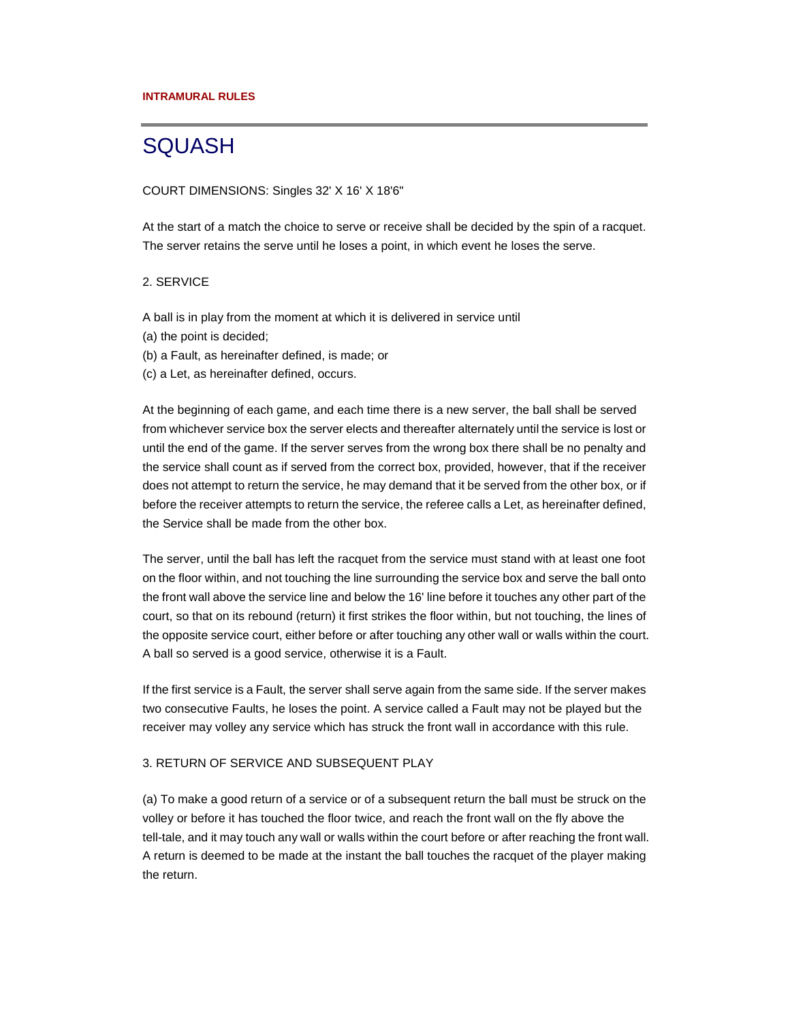# **SQUASH**

#### COURT DIMENSIONS: Singles 32' X 16' X 18'6"

At the start of a match the choice to serve or receive shall be decided by the spin of a racquet. The server retains the serve until he loses a point, in which event he loses the serve.

#### 2. SERVICE

A ball is in play from the moment at which it is delivered in service until

- (a) the point is decided;
- (b) a Fault, as hereinafter defined, is made; or
- (c) a Let, as hereinafter defined, occurs.

At the beginning of each game, and each time there is a new server, the ball shall be served from whichever service box the server elects and thereafter alternately until the service is lost or until the end of the game. If the server serves from the wrong box there shall be no penalty and the service shall count as if served from the correct box, provided, however, that if the receiver does not attempt to return the service, he may demand that it be served from the other box, or if before the receiver attempts to return the service, the referee calls a Let, as hereinafter defined, the Service shall be made from the other box.

The server, until the ball has left the racquet from the service must stand with at least one foot on the floor within, and not touching the line surrounding the service box and serve the ball onto the front wall above the service line and below the 16' line before it touches any other part of the court, so that on its rebound (return) it first strikes the floor within, but not touching, the lines of the opposite service court, either before or after touching any other wall or walls within the court. A ball so served is a good service, otherwise it is a Fault.

If the first service is a Fault, the server shall serve again from the same side. If the server makes two consecutive Faults, he loses the point. A service called a Fault may not be played but the receiver may volley any service which has struck the front wall in accordance with this rule.

### 3. RETURN OF SERVICE AND SUBSEQUENT PLAY

(a) To make a good return of a service or of a subsequent return the ball must be struck on the volley or before it has touched the floor twice, and reach the front wall on the fly above the tell-tale, and it may touch any wall or walls within the court before or after reaching the front wall. A return is deemed to be made at the instant the ball touches the racquet of the player making the return.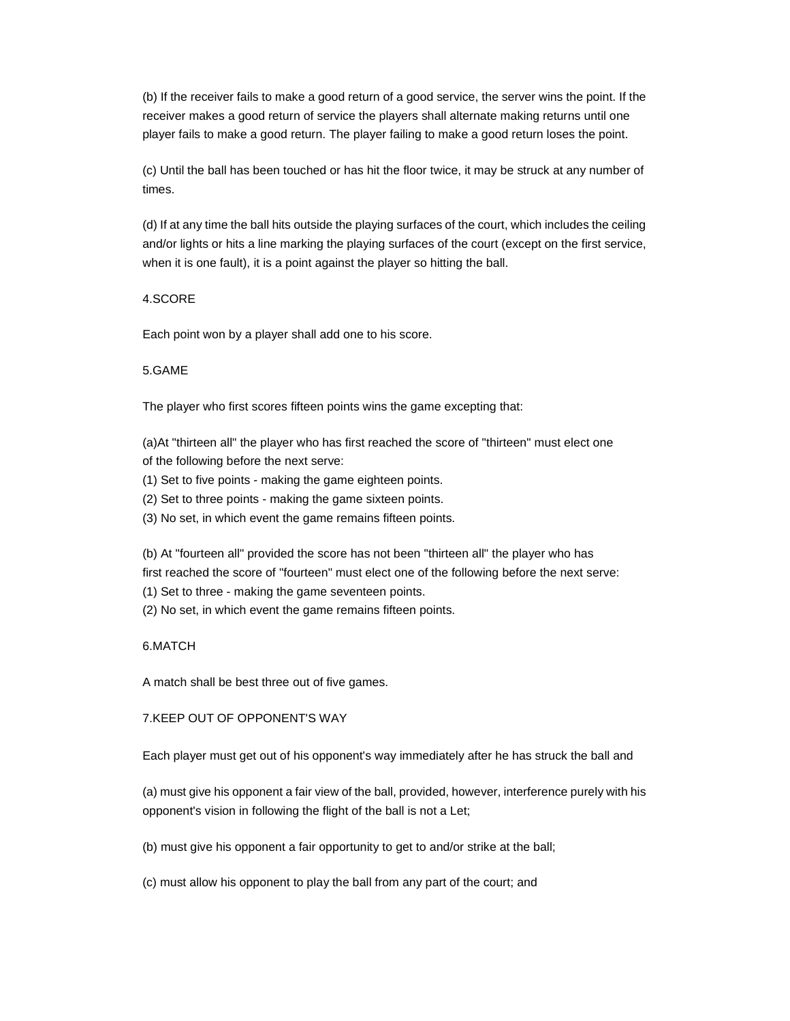(b) If the receiver fails to make a good return of a good service, the server wins the point. If the receiver makes a good return of service the players shall alternate making returns until one player fails to make a good return. The player failing to make a good return loses the point.

(c) Until the ball has been touched or has hit the floor twice, it may be struck at any number of times.

(d) If at any time the ball hits outside the playing surfaces of the court, which includes the ceiling and/or lights or hits a line marking the playing surfaces of the court (except on the first service, when it is one fault), it is a point against the player so hitting the ball.

## 4.SCORE

Each point won by a player shall add one to his score.

#### 5.GAME

The player who first scores fifteen points wins the game excepting that:

(a)At "thirteen all" the player who has first reached the score of "thirteen" must elect one of the following before the next serve:

- (1) Set to five points making the game eighteen points.
- (2) Set to three points making the game sixteen points.
- (3) No set, in which event the game remains fifteen points.

(b) At "fourteen all" provided the score has not been "thirteen all" the player who has first reached the score of "fourteen" must elect one of the following before the next serve:

- (1) Set to three making the game seventeen points.
- (2) No set, in which event the game remains fifteen points.

#### 6.MATCH

A match shall be best three out of five games.

#### 7.KEEP OUT OF OPPONENT'S WAY

Each player must get out of his opponent's way immediately after he has struck the ball and

(a) must give his opponent a fair view of the ball, provided, however, interference purely with his opponent's vision in following the flight of the ball is not a Let;

(b) must give his opponent a fair opportunity to get to and/or strike at the ball;

(c) must allow his opponent to play the ball from any part of the court; and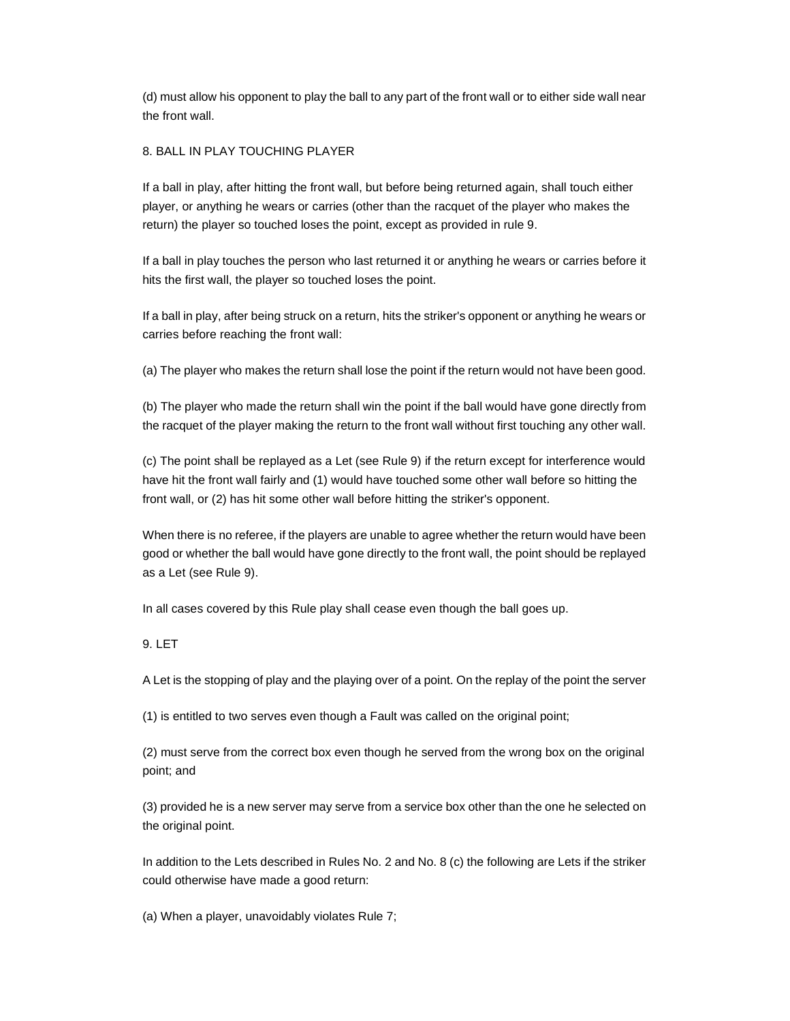(d) must allow his opponent to play the ball to any part of the front wall or to either side wall near the front wall.

# 8. BALL IN PLAY TOUCHING PLAYER

If a ball in play, after hitting the front wall, but before being returned again, shall touch either player, or anything he wears or carries (other than the racquet of the player who makes the return) the player so touched loses the point, except as provided in rule 9.

If a ball in play touches the person who last returned it or anything he wears or carries before it hits the first wall, the player so touched loses the point.

If a ball in play, after being struck on a return, hits the striker's opponent or anything he wears or carries before reaching the front wall:

(a) The player who makes the return shall lose the point if the return would not have been good.

(b) The player who made the return shall win the point if the ball would have gone directly from the racquet of the player making the return to the front wall without first touching any other wall.

(c) The point shall be replayed as a Let (see Rule 9) if the return except for interference would have hit the front wall fairly and (1) would have touched some other wall before so hitting the front wall, or (2) has hit some other wall before hitting the striker's opponent.

When there is no referee, if the players are unable to agree whether the return would have been good or whether the ball would have gone directly to the front wall, the point should be replayed as a Let (see Rule 9).

In all cases covered by this Rule play shall cease even though the ball goes up.

# 9. LET

A Let is the stopping of play and the playing over of a point. On the replay of the point the server

(1) is entitled to two serves even though a Fault was called on the original point;

(2) must serve from the correct box even though he served from the wrong box on the original point; and

(3) provided he is a new server may serve from a service box other than the one he selected on the original point.

In addition to the Lets described in Rules No. 2 and No. 8 (c) the following are Lets if the striker could otherwise have made a good return:

(a) When a player, unavoidably violates Rule 7;